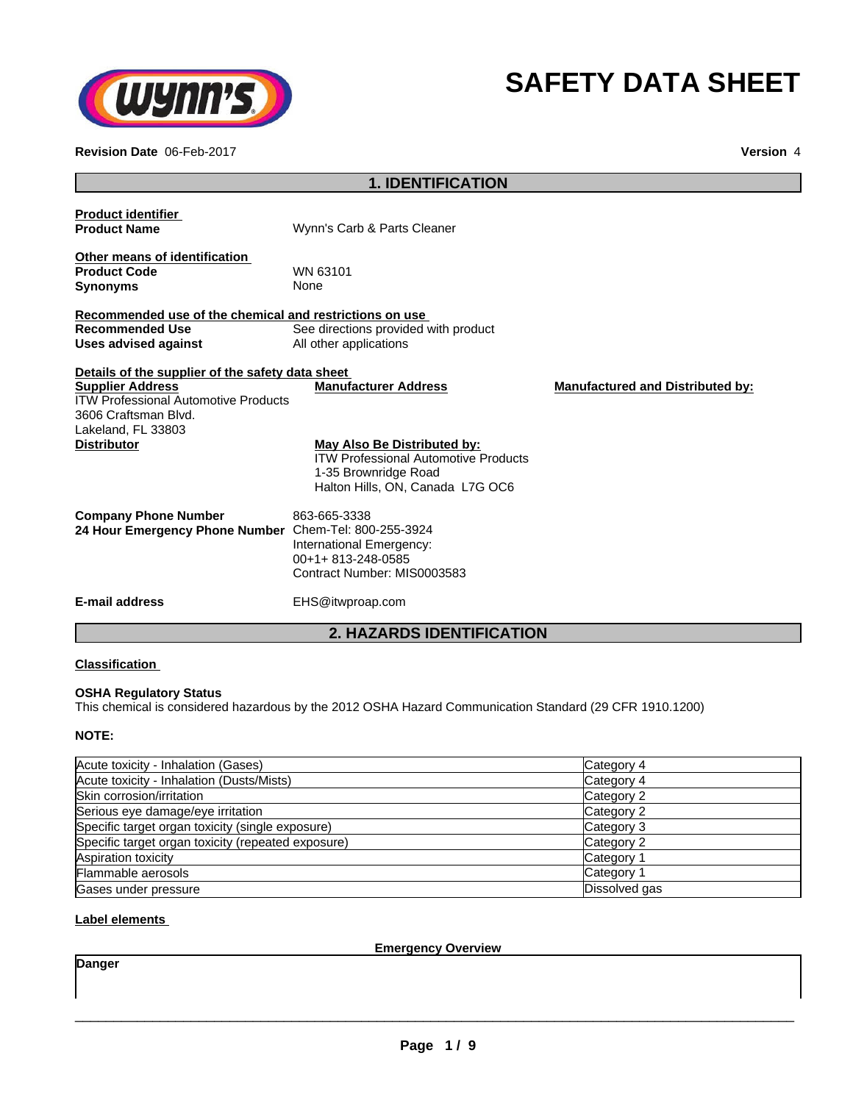

# **SAFETY DATA SHEET**

**Revision Date** 06-Feb-2017 **Version** 4

|                                                                                                                      | <b>1. IDENTIFICATION</b>                                                                                                               |                                         |
|----------------------------------------------------------------------------------------------------------------------|----------------------------------------------------------------------------------------------------------------------------------------|-----------------------------------------|
| <b>Product identifier</b>                                                                                            |                                                                                                                                        |                                         |
| <b>Product Name</b>                                                                                                  | Wynn's Carb & Parts Cleaner                                                                                                            |                                         |
| Other means of identification                                                                                        |                                                                                                                                        |                                         |
| <b>Product Code</b>                                                                                                  | WN 63101                                                                                                                               |                                         |
| <b>Synonyms</b>                                                                                                      | None                                                                                                                                   |                                         |
| Recommended use of the chemical and restrictions on use                                                              |                                                                                                                                        |                                         |
| <b>Recommended Use</b>                                                                                               | See directions provided with product                                                                                                   |                                         |
| Uses advised against                                                                                                 | All other applications                                                                                                                 |                                         |
| Details of the supplier of the safety data sheet                                                                     |                                                                                                                                        |                                         |
| <b>Supplier Address</b><br><b>ITW Professional Automotive Products</b><br>3606 Craftsman Blvd.<br>Lakeland, FL 33803 | <b>Manufacturer Address</b>                                                                                                            | <b>Manufactured and Distributed by:</b> |
| <b>Distributor</b>                                                                                                   | May Also Be Distributed by:<br><b>ITW Professional Automotive Products</b><br>1-35 Brownridge Road<br>Halton Hills, ON, Canada L7G OC6 |                                         |
| <b>Company Phone Number</b>                                                                                          | 863-665-3338                                                                                                                           |                                         |
| 24 Hour Emergency Phone Number Chem-Tel: 800-255-3924                                                                |                                                                                                                                        |                                         |
|                                                                                                                      | International Emergency:                                                                                                               |                                         |
|                                                                                                                      | 00+1+813-248-0585                                                                                                                      |                                         |
|                                                                                                                      | Contract Number: MIS0003583                                                                                                            |                                         |
| <b>E-mail address</b>                                                                                                | EHS@itwproap.com                                                                                                                       |                                         |
|                                                                                                                      | <b>2. HAZARDS IDENTIFICATION</b>                                                                                                       |                                         |

## **Classification**

#### **OSHA Regulatory Status**

This chemical is considered hazardous by the 2012 OSHA Hazard Communication Standard (29 CFR 1910.1200)

#### **NOTE:**

| Acute toxicity - Inhalation (Gases)                | Category 4    |
|----------------------------------------------------|---------------|
| Acute toxicity - Inhalation (Dusts/Mists)          | Category 4    |
| Skin corrosion/irritation                          | Category 2    |
| Serious eye damage/eye irritation                  | Category 2    |
| Specific target organ toxicity (single exposure)   | Category 3    |
| Specific target organ toxicity (repeated exposure) | Category 2    |
| Aspiration toxicity                                | Category 1    |
| Flammable aerosols                                 | Category 1    |
| Gases under pressure                               | Dissolved gas |

# **Label elements**

**Emergency Overview**

**Danger**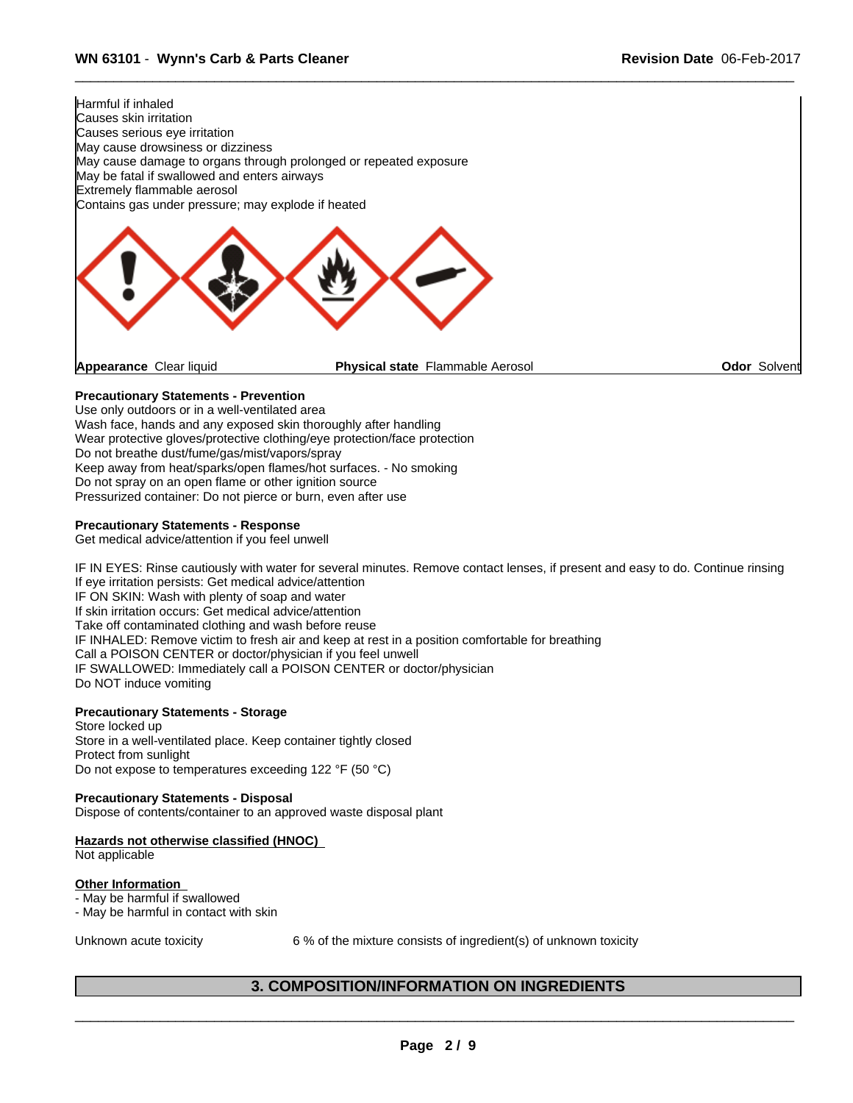

# **Precautionary Statements - Prevention**

Use only outdoors or in a well-ventilated area Wash face, hands and any exposed skin thoroughly after handling Wear protective gloves/protective clothing/eye protection/face protection Do not breathe dust/fume/gas/mist/vapors/spray Keep away from heat/sparks/open flames/hot surfaces. - No smoking Do not spray on an open flame or other ignition source Pressurized container: Do not pierce or burn, even after use

#### **Precautionary Statements - Response**

Get medical advice/attention if you feel unwell

IF IN EYES: Rinse cautiously with water for several minutes. Remove contact lenses, if present and easy to do. Continue rinsing If eye irritation persists: Get medical advice/attention IF ON SKIN: Wash with plenty of soap and water If skin irritation occurs: Get medical advice/attention Take off contaminated clothing and wash before reuse IF INHALED: Remove victim to fresh air and keep at rest in a position comfortable for breathing Call a POISON CENTER or doctor/physician if you feel unwell IF SWALLOWED: Immediately call a POISON CENTER or doctor/physician Do NOT induce vomiting

#### **Precautionary Statements - Storage**

Store locked up Store in a well-ventilated place. Keep container tightly closed Protect from sunlight Do not expose to temperatures exceeding 122 °F (50 °C)

#### **Precautionary Statements - Disposal**

Dispose of contents/container to an approved waste disposal plant

#### **Hazards not otherwise classified (HNOC)** Not applicable

## **Other Information**

- May be harmful if swallowed

- May be harmful in contact with skin

Unknown acute toxicity 6% of the mixture consists of ingredient(s) of unknown toxicity

 $\overline{\phantom{a}}$  ,  $\overline{\phantom{a}}$  ,  $\overline{\phantom{a}}$  ,  $\overline{\phantom{a}}$  ,  $\overline{\phantom{a}}$  ,  $\overline{\phantom{a}}$  ,  $\overline{\phantom{a}}$  ,  $\overline{\phantom{a}}$  ,  $\overline{\phantom{a}}$  ,  $\overline{\phantom{a}}$  ,  $\overline{\phantom{a}}$  ,  $\overline{\phantom{a}}$  ,  $\overline{\phantom{a}}$  ,  $\overline{\phantom{a}}$  ,  $\overline{\phantom{a}}$  ,  $\overline{\phantom{a}}$ 

# **3. COMPOSITION/INFORMATION ON INGREDIENTS**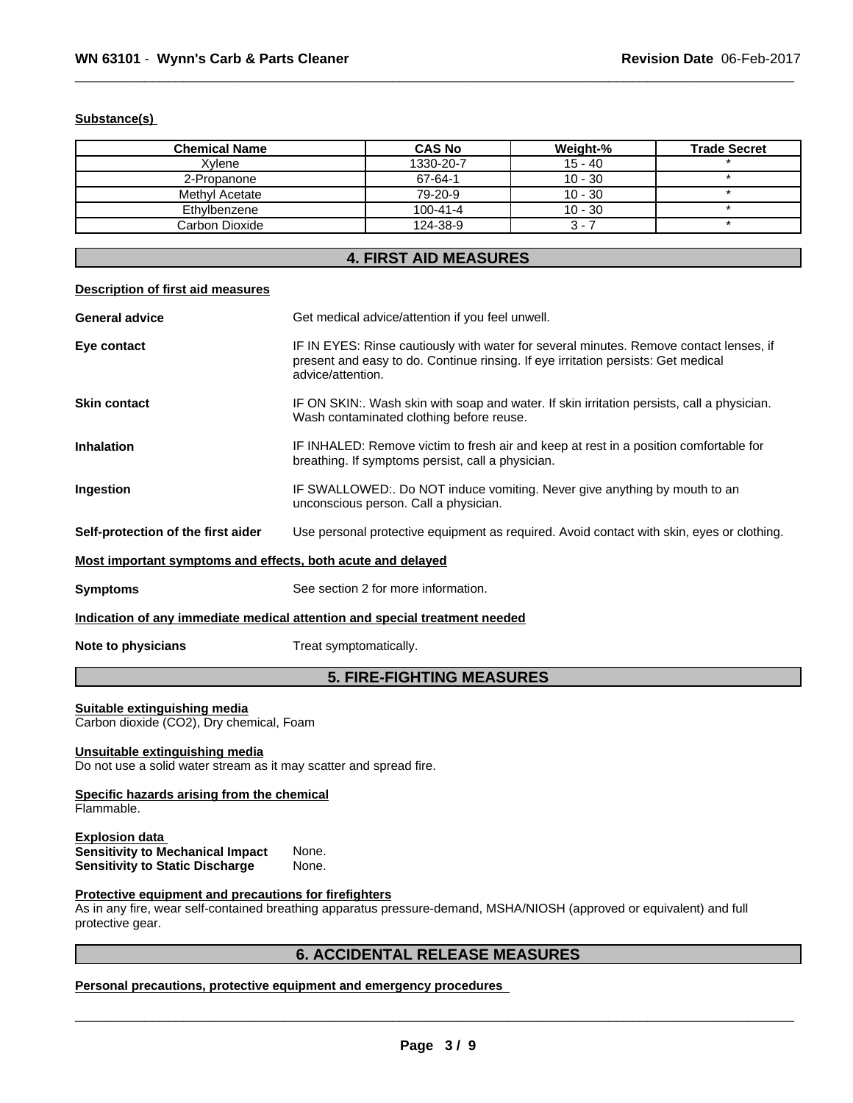## **Substance(s)**

| <b>Chemical Name</b> | <b>CAS No</b>  | Weight-%  | <b>Trade Secret</b> |
|----------------------|----------------|-----------|---------------------|
| Xvlene               | 1330-20-7      | $15 - 40$ |                     |
| 2-Propanone          | 67-64-1        | $10 - 30$ |                     |
| Methyl Acetate       | 79-20-9        | $10 - 30$ |                     |
| Ethylbenzene         | $100 - 41 - 4$ | $10 - 30$ |                     |
| Carbon Dioxide       | 124-38-9       | 3 -       |                     |

# **4. FIRST AID MEASURES**

#### **Description of first aid measures**

| <b>General advice</b>                                       | Get medical advice/attention if you feel unwell.                                                                                                                                                 |
|-------------------------------------------------------------|--------------------------------------------------------------------------------------------------------------------------------------------------------------------------------------------------|
| Eye contact                                                 | IF IN EYES: Rinse cautiously with water for several minutes. Remove contact lenses, if<br>present and easy to do. Continue rinsing. If eye irritation persists: Get medical<br>advice/attention. |
| <b>Skin contact</b>                                         | IF ON SKIN:. Wash skin with soap and water. If skin irritation persists, call a physician.<br>Wash contaminated clothing before reuse.                                                           |
| <b>Inhalation</b>                                           | IF INHALED: Remove victim to fresh air and keep at rest in a position comfortable for<br>breathing. If symptoms persist, call a physician.                                                       |
| Ingestion                                                   | IF SWALLOWED:. Do NOT induce vomiting. Never give anything by mouth to an<br>unconscious person. Call a physician.                                                                               |
| Self-protection of the first aider                          | Use personal protective equipment as required. Avoid contact with skin, eyes or clothing.                                                                                                        |
| Most important symptoms and effects, both acute and delayed |                                                                                                                                                                                                  |

**Symptoms** See section 2 for more information.

**Indication of any immediate medical attention and special treatment needed**

**Note to physicians** Treat symptomatically.

# **5. FIRE-FIGHTING MEASURES**

#### **Suitable extinguishing media**

Carbon dioxide (CO2), Dry chemical, Foam

#### **Unsuitable extinguishing media**

Do not use a solid water stream as it may scatter and spread fire.

# **Specific hazards arising from the chemical**

Flammable.

#### **Explosion data**<br>**Sensitivity to Mechanical Impact** None. **Sensitivity to Mechanical Impact** None. **Sensitivity to Static Discharge**

## **Protective equipment and precautions for firefighters**

As in any fire, wear self-contained breathing apparatus pressure-demand, MSHA/NIOSH (approved or equivalent) and full protective gear.

# **6. ACCIDENTAL RELEASE MEASURES**

**Personal precautions, protective equipment and emergency procedures**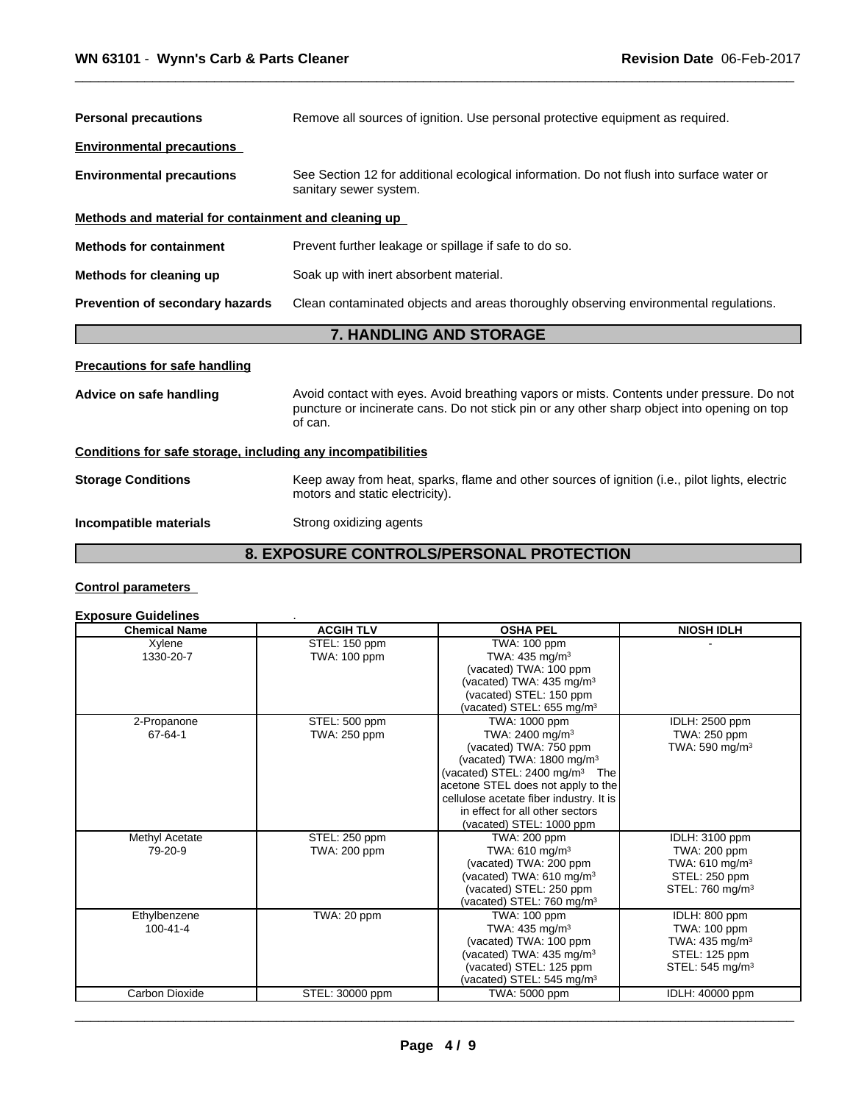| <b>Personal precautions</b>                                  | Remove all sources of ignition. Use personal protective equipment as required.                                                                                                                      |  |  |
|--------------------------------------------------------------|-----------------------------------------------------------------------------------------------------------------------------------------------------------------------------------------------------|--|--|
| <b>Environmental precautions</b>                             |                                                                                                                                                                                                     |  |  |
| <b>Environmental precautions</b>                             | See Section 12 for additional ecological information. Do not flush into surface water or<br>sanitary sewer system.                                                                                  |  |  |
| Methods and material for containment and cleaning up         |                                                                                                                                                                                                     |  |  |
| <b>Methods for containment</b>                               | Prevent further leakage or spillage if safe to do so.                                                                                                                                               |  |  |
| Methods for cleaning up                                      | Soak up with inert absorbent material.                                                                                                                                                              |  |  |
| <b>Prevention of secondary hazards</b>                       | Clean contaminated objects and areas thoroughly observing environmental regulations.                                                                                                                |  |  |
|                                                              | 7. HANDLING AND STORAGE                                                                                                                                                                             |  |  |
| <b>Precautions for safe handling</b>                         |                                                                                                                                                                                                     |  |  |
| Advice on safe handling                                      | Avoid contact with eyes. Avoid breathing vapors or mists. Contents under pressure. Do not<br>puncture or incinerate cans. Do not stick pin or any other sharp object into opening on top<br>of can. |  |  |
| Conditions for safe storage, including any incompatibilities |                                                                                                                                                                                                     |  |  |
| <b>Storage Conditions</b>                                    | Keep away from heat, sparks, flame and other sources of ignition (i.e., pilot lights, electric<br>motors and static electricity).                                                                   |  |  |
| Incompatible materials                                       | Strong oxidizing agents                                                                                                                                                                             |  |  |
|                                                              | 8. EXPOSURE CONTROLS/PERSONAL PROTECTION                                                                                                                                                            |  |  |

# **Control parameters**

# **Exposure Guidelines** .

| <b>Chemical Name</b> | <b>ACGIH TLV</b> | <b>OSHA PEL</b>                                        | <b>NIOSH IDLH</b>           |
|----------------------|------------------|--------------------------------------------------------|-----------------------------|
| Xylene               | STEL: 150 ppm    | TWA: 100 ppm                                           |                             |
| 1330-20-7            | TWA: 100 ppm     | TWA: $435 \text{ mg/m}^3$                              |                             |
|                      |                  | (vacated) TWA: 100 ppm                                 |                             |
|                      |                  | (vacated) TWA: 435 mg/m <sup>3</sup>                   |                             |
|                      |                  | (vacated) STEL: 150 ppm                                |                             |
|                      |                  | (vacated) STEL: 655 mg/m <sup>3</sup>                  |                             |
| 2-Propanone          | STEL: 500 ppm    | TWA: 1000 ppm                                          | IDLH: 2500 ppm              |
| 67-64-1              | TWA: 250 ppm     | TWA: 2400 mg/m <sup>3</sup>                            | TWA: 250 ppm                |
|                      |                  | (vacated) TWA: 750 ppm                                 | TWA: 590 mg/m <sup>3</sup>  |
|                      |                  | (vacated) TWA: 1800 mg/m <sup>3</sup>                  |                             |
|                      |                  | (vacated) STEL: $2400 \text{ mg/m}^3$ The              |                             |
|                      |                  | acetone STEL does not apply to the                     |                             |
|                      |                  | cellulose acetate fiber industry. It is                |                             |
|                      |                  | in effect for all other sectors                        |                             |
|                      |                  | (vacated) STEL: 1000 ppm                               |                             |
| Methyl Acetate       | STEL: 250 ppm    | TWA: 200 ppm                                           | IDLH: 3100 ppm              |
| 79-20-9              | TWA: 200 ppm     | TWA: $610$ mg/m <sup>3</sup>                           | TWA: 200 ppm                |
|                      |                  | (vacated) TWA: 200 ppm                                 | TWA: 610 mg/m <sup>3</sup>  |
|                      |                  | (vacated) TWA: 610 mg/m <sup>3</sup>                   | STEL: 250 ppm               |
|                      |                  | (vacated) STEL: 250 ppm                                | STEL: 760 mg/m <sup>3</sup> |
|                      |                  | (vacated) STEL: 760 mg/m <sup>3</sup>                  |                             |
| Ethylbenzene         | TWA: 20 ppm      | <b>TWA: 100 ppm</b>                                    | IDLH: 800 ppm               |
| $100 - 41 - 4$       |                  | TWA: $435 \text{ mg/m}^3$                              | TWA: 100 ppm                |
|                      |                  | (vacated) TWA: 100 ppm                                 | TWA: $435 \text{ mg/m}^3$   |
|                      |                  | (vacated) TWA: 435 mg/m <sup>3</sup>                   | STEL: 125 ppm               |
|                      |                  | (vacated) STEL: 125 ppm                                | STEL: $545 \text{ mg/m}^3$  |
| Carbon Dioxide       | STEL: 30000 ppm  | (vacated) STEL: 545 mg/m <sup>3</sup><br>TWA: 5000 ppm | IDLH: 40000 ppm             |
|                      |                  |                                                        |                             |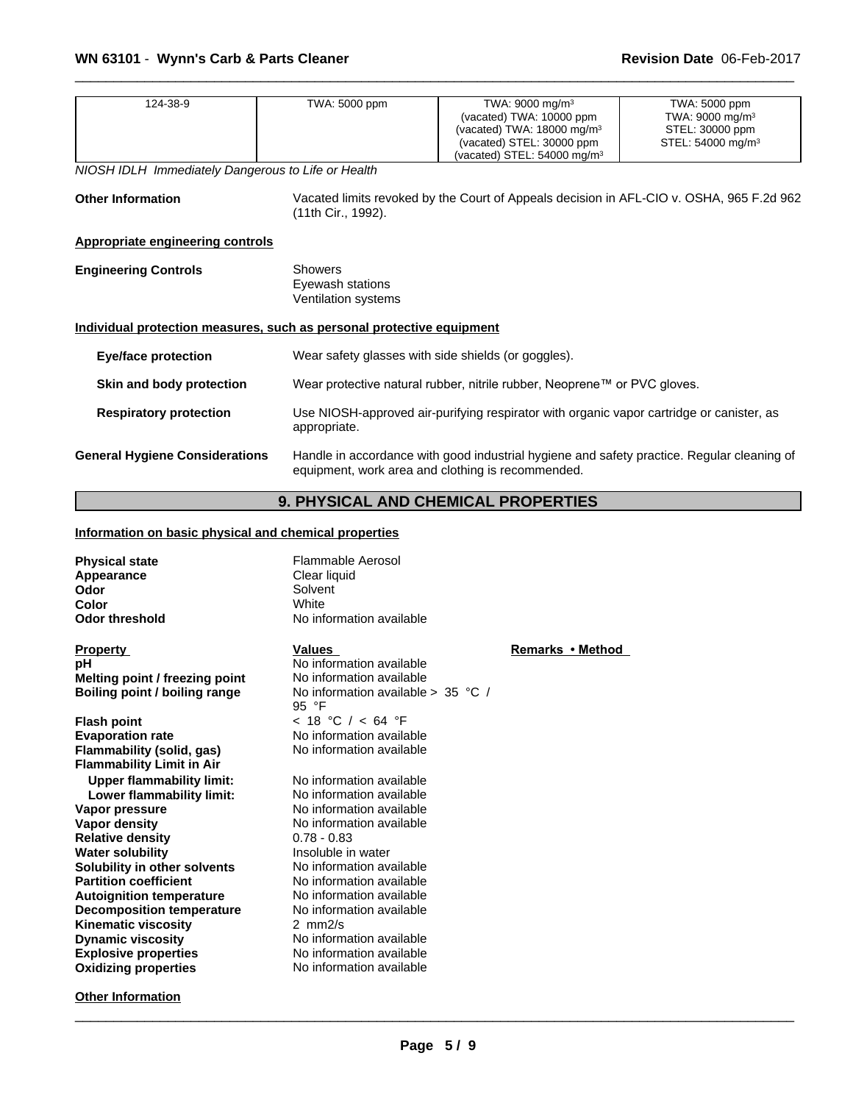| 124-38-9<br>NIOSH IDLH Immediately Dangerous to Life or Health        | TWA: 5000 ppm                                             | TWA: 9000 mg/m <sup>3</sup><br>(vacated) TWA: 10000 ppm<br>(vacated) TWA: 18000 mg/m <sup>3</sup><br>(vacated) STEL: 30000 ppm<br>(vacated) STEL: $54000$ mg/m <sup>3</sup> | TWA: 5000 ppm<br>TWA: 9000 mg/m <sup>3</sup><br>STEL: 30000 ppm<br>STEL: 54000 mg/m <sup>3</sup> |  |  |
|-----------------------------------------------------------------------|-----------------------------------------------------------|-----------------------------------------------------------------------------------------------------------------------------------------------------------------------------|--------------------------------------------------------------------------------------------------|--|--|
| <b>Other Information</b>                                              | (11th Cir., 1992).                                        |                                                                                                                                                                             | Vacated limits revoked by the Court of Appeals decision in AFL-CIO v. OSHA, 965 F.2d 962         |  |  |
| <b>Appropriate engineering controls</b>                               |                                                           |                                                                                                                                                                             |                                                                                                  |  |  |
| <b>Engineering Controls</b>                                           | <b>Showers</b><br>Eyewash stations<br>Ventilation systems |                                                                                                                                                                             |                                                                                                  |  |  |
| Individual protection measures, such as personal protective equipment |                                                           |                                                                                                                                                                             |                                                                                                  |  |  |
| <b>Eye/face protection</b>                                            |                                                           | Wear safety glasses with side shields (or goggles).                                                                                                                         |                                                                                                  |  |  |
| Skin and body protection                                              |                                                           | Wear protective natural rubber, nitrile rubber, Neoprene™ or PVC gloves.                                                                                                    |                                                                                                  |  |  |
| <b>Respiratory protection</b>                                         | appropriate.                                              | Use NIOSH-approved air-purifying respirator with organic vapor cartridge or canister, as                                                                                    |                                                                                                  |  |  |
| <b>General Hygiene Considerations</b>                                 |                                                           | Handle in accordance with good industrial hygiene and safety practice. Regular cleaning of<br>equipment, work area and clothing is recommended.                             |                                                                                                  |  |  |
|                                                                       |                                                           |                                                                                                                                                                             |                                                                                                  |  |  |

# **9. PHYSICAL AND CHEMICAL PROPERTIES**

# **Information on basic physical and chemical properties**

**Other Information**

| <b>Physical state</b><br>Appearance<br>Odor<br>Color<br><b>Odor threshold</b> | <b>Flammable Aerosol</b><br>Clear liquid<br>Solvent<br>White<br>No information available |                  |
|-------------------------------------------------------------------------------|------------------------------------------------------------------------------------------|------------------|
| <b>Property</b>                                                               | Values                                                                                   | Remarks • Method |
| рH                                                                            | No information available                                                                 |                  |
| Melting point / freezing point                                                | No information available                                                                 |                  |
| Boiling point / boiling range                                                 | No information available $> 35$ °C /<br>95 °F                                            |                  |
| <b>Flash point</b>                                                            | < 18 °C / < 64 °F                                                                        |                  |
| <b>Evaporation rate</b>                                                       | No information available                                                                 |                  |
| Flammability (solid, gas)                                                     | No information available                                                                 |                  |
| <b>Flammability Limit in Air</b>                                              |                                                                                          |                  |
| <b>Upper flammability limit:</b>                                              | No information available                                                                 |                  |
| Lower flammability limit:                                                     | No information available                                                                 |                  |
| Vapor pressure                                                                | No information available                                                                 |                  |
| Vapor density                                                                 | No information available                                                                 |                  |
| <b>Relative density</b>                                                       | $0.78 - 0.83$                                                                            |                  |
| <b>Water solubility</b>                                                       | Insoluble in water                                                                       |                  |
| Solubility in other solvents<br><b>Partition coefficient</b>                  | No information available<br>No information available                                     |                  |
|                                                                               | No information available                                                                 |                  |
| <b>Autoignition temperature</b><br><b>Decomposition temperature</b>           | No information available                                                                 |                  |
| <b>Kinematic viscosity</b>                                                    | $2 \, mm2/s$                                                                             |                  |
| <b>Dynamic viscosity</b>                                                      | No information available                                                                 |                  |
| <b>Explosive properties</b>                                                   | No information available                                                                 |                  |
| <b>Oxidizing properties</b>                                                   | No information available                                                                 |                  |
|                                                                               |                                                                                          |                  |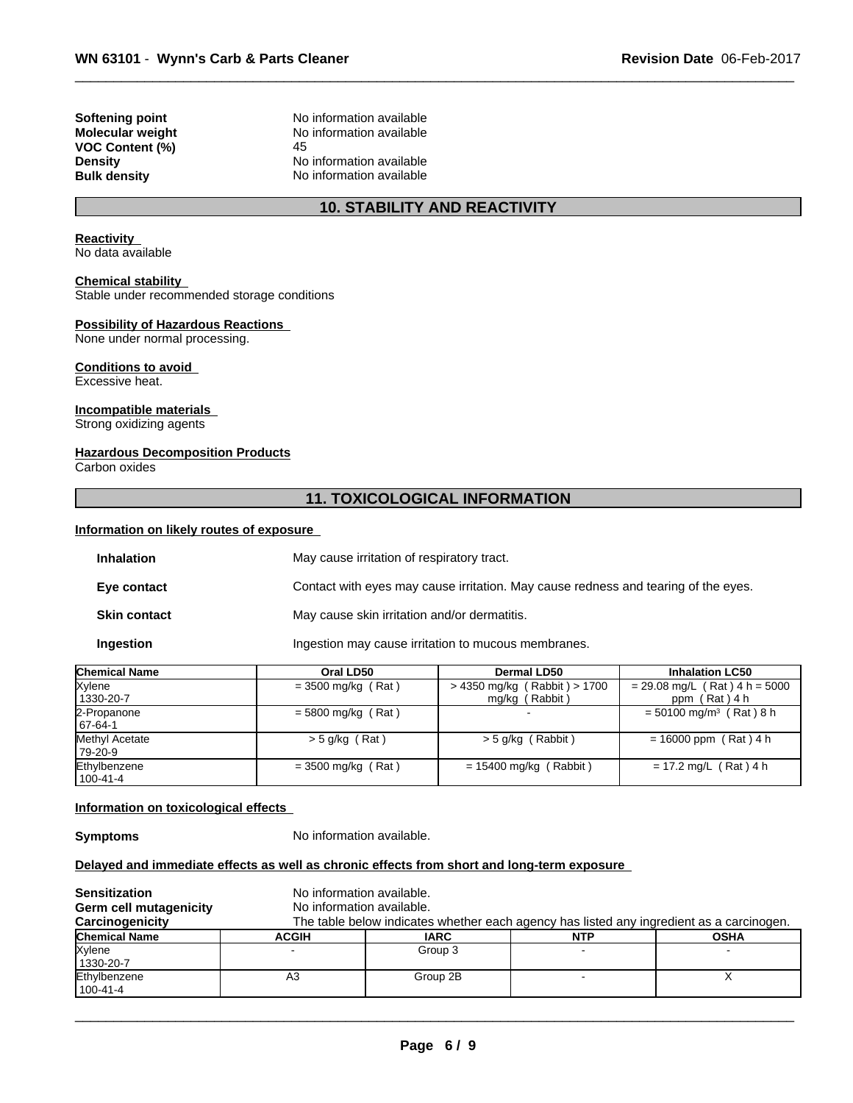**VOC Content (%)** 45<br>**Density** No

**Softening point**<br> **Molecular weight**<br> **Molecular weight**<br> **Molecular weight**<br> **Molecular weight No information available Density Density Density Bulk density Research American Available Bulk density No** information available **No information available** 

# **10. STABILITY AND REACTIVITY**

## **Reactivity**

No data available

#### **Chemical stability**

Stable under recommended storage conditions

#### **Possibility of Hazardous Reactions**

None under normal processing.

#### **Conditions to avoid** Excessive heat.

# **Incompatible materials**

Strong oxidizing agents

## **Hazardous Decomposition Products**

Carbon oxides

# **11. TOXICOLOGICAL INFORMATION**

#### **Information on likely routes of exposure**

| <b>Inhalation</b>   | May cause irritation of respiratory tract.                                         |
|---------------------|------------------------------------------------------------------------------------|
| Eye contact         | Contact with eyes may cause irritation. May cause redness and tearing of the eyes. |
| <b>Skin contact</b> | May cause skin irritation and/or dermatitis.                                       |
| Ingestion           | Ingestion may cause irritation to mucous membranes.                                |

| <b>Chemical Name</b>      | Oral LD50            | Dermal LD50                      | <b>Inhalation LC50</b>                |
|---------------------------|----------------------|----------------------------------|---------------------------------------|
| Xylene                    | $=$ 3500 mg/kg (Rat) | $> 4350$ mg/kg (Rabbit) $> 1700$ | $= 29.08$ mg/L (Rat) 4 h = 5000       |
| 1330-20-7                 |                      | mg/kg (Rabbit)                   | ppm (Rat) 4 h                         |
| 2-Propanone<br>67-64-1    | $= 5800$ mg/kg (Rat) |                                  | $= 50100$ mg/m <sup>3</sup> (Rat) 8 h |
| Methyl Acetate<br>79-20-9 | $>$ 5 g/kg (Rat)     | $>$ 5 g/kg (Rabbit)              | $= 16000$ ppm (Rat) 4 h               |
| Ethylbenzene<br>100-41-4  | $= 3500$ mg/kg (Rat) | $= 15400$ mg/kg (Rabbit)         | $= 17.2$ mg/L (Rat) 4 h               |

#### **Information on toxicological effects**

**Symptoms** No information available.

#### **Delayed and immediate effects as well as chronic effects from short and long-term exposure**

| <b>Sensitization</b><br>Germ cell mutagenicity<br>Carcinogenicity | No information available.<br>No information available. |             | The table below indicates whether each agency has listed any ingredient as a carcinogen. |             |
|-------------------------------------------------------------------|--------------------------------------------------------|-------------|------------------------------------------------------------------------------------------|-------------|
| <b>Chemical Name</b>                                              | <b>ACGIH</b>                                           | <b>IARC</b> | <b>NTP</b>                                                                               | <b>OSHA</b> |
| Xylene<br>1330-20-7                                               |                                                        | Group 3     |                                                                                          |             |
| Ethylbenzene<br>100-41-4                                          | A3                                                     | Group 2B    |                                                                                          |             |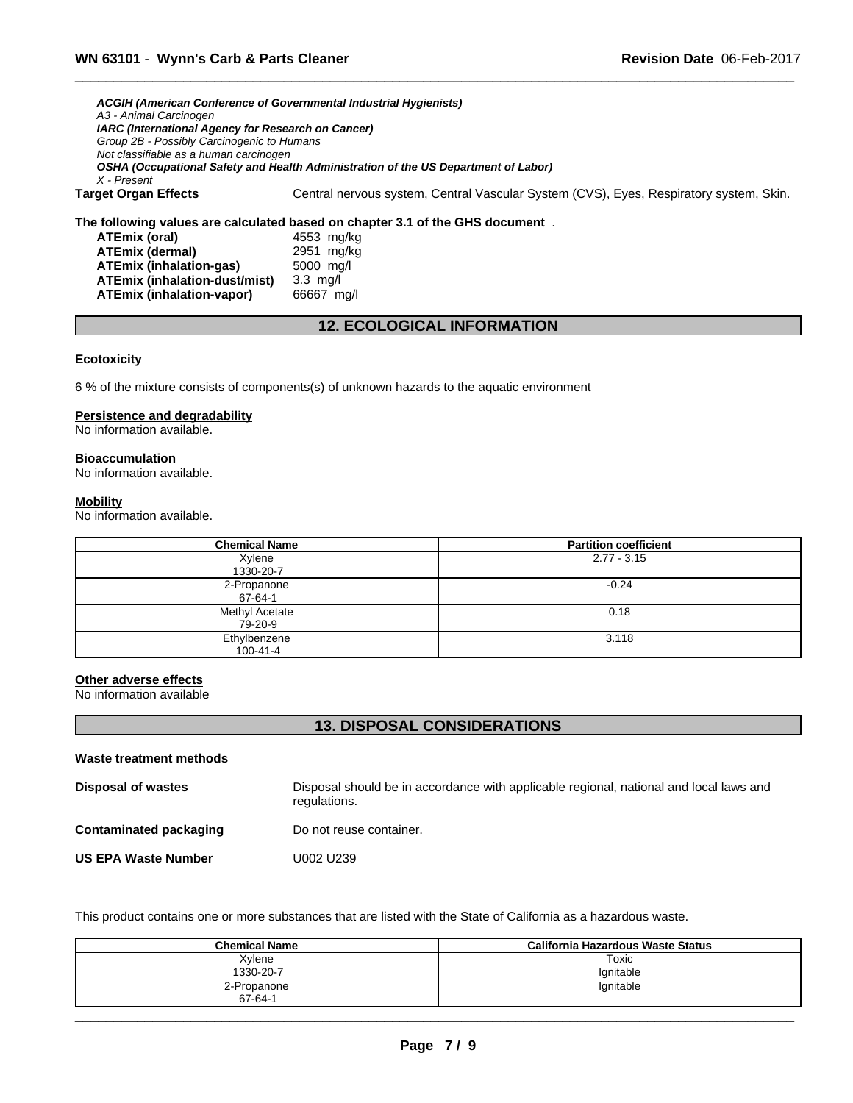*ACGIH (American Conference of Governmental Industrial Hygienists) A3 - Animal Carcinogen IARC (International Agency for Research on Cancer) Group 2B - Possibly Carcinogenic to Humans Not classifiable as a human carcinogen OSHA (Occupational Safety and Health Administration of the US Department of Labor) X - Present* **Target Organ Effects** Central nervous system, Central Vascular System (CVS), Eyes, Respiratory system, Skin.

# **The following values are calculated based on chapter 3.1 of the GHS document** .

**ATEmix (oral)** 4553 mg/kg<br> **ATEmix (dermal)** 2951 mg/kg **ATEmix** (dermal) **ATEmix (inhalation-gas)** 5000 mg/l **ATEmix (inhalation-dust/mist)** 3.3 mg/l **ATEmix (inhalation-vapor)** 66667 mg/l

# **12. ECOLOGICAL INFORMATION**

#### **Ecotoxicity**

6 % of the mixture consists of components(s) of unknown hazards to the aquatic environment

#### **Persistence and degradability**

No information available.

**Bioaccumulation** No information available.

# **Mobility**

No information available.

| <b>Chemical Name</b>           | <b>Partition coefficient</b> |
|--------------------------------|------------------------------|
| Xylene<br>1330-20-7            | $2.77 - 3.15$                |
| 2-Propanone<br>67-64-1         | $-0.24$                      |
| Methyl Acetate<br>79-20-9      | 0.18                         |
| Ethylbenzene<br>$100 - 41 - 4$ | 3.118                        |

#### **Other adverse effects**

No information available

# **13. DISPOSAL CONSIDERATIONS**

| Waste treatment methods    |                                                                                                        |
|----------------------------|--------------------------------------------------------------------------------------------------------|
| <b>Disposal of wastes</b>  | Disposal should be in accordance with applicable regional, national and local laws and<br>regulations. |
| Contaminated packaging     | Do not reuse container.                                                                                |
| <b>US EPA Waste Number</b> | U002 U239                                                                                              |

This product contains one or more substances that are listed with the State of California as a hazardous waste.

| <b>Chemical Name</b>         | California Hazardous Waste Status |  |
|------------------------------|-----------------------------------|--|
| Xylene                       | Toxic                             |  |
| 1330-20-7                    | lgnitable                         |  |
| 2-Propanone<br>$67 - 64 - 1$ | lgnitable                         |  |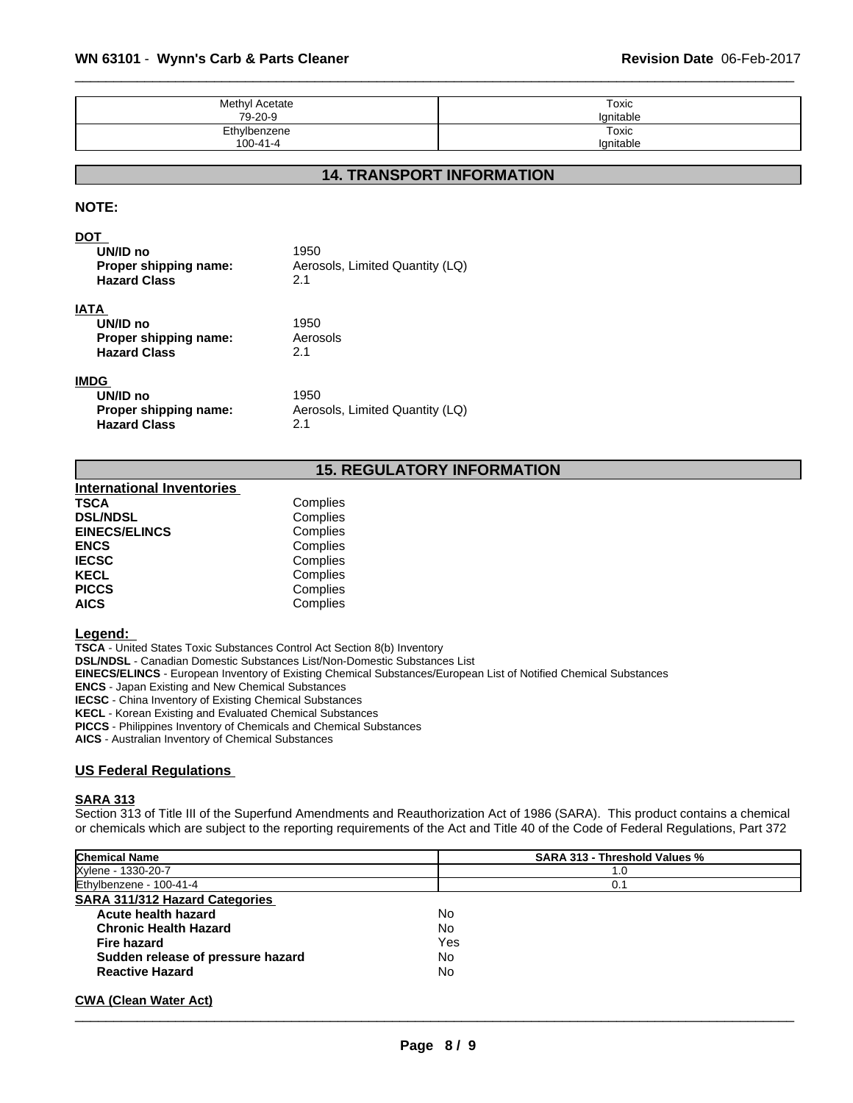| Methyl Acetate | Toxic     |
|----------------|-----------|
| 79-20-9        | Ignitable |
| Ethylbenzene   | Toxic     |
| $100 - 41 - 4$ | Ignitable |

# **14. TRANSPORT INFORMATION**

## **NOTE:**

#### **DOT**

| UN/ID no<br>Proper shipping name:<br><b>Hazard Class</b> | 1950<br>Aerosols, Limited Quantity (LQ)<br>2.1 |
|----------------------------------------------------------|------------------------------------------------|
| IATA                                                     |                                                |
| UN/ID no                                                 | 1950                                           |
| Proper shipping name:                                    | Aerosols                                       |
| <b>Hazard Class</b>                                      | 2.1                                            |
| IMDG                                                     |                                                |

#### **IMDG**

| - -<br>UN/ID no       | 1950                            |
|-----------------------|---------------------------------|
| Proper shipping name: | Aerosols, Limited Quantity (LQ) |
| <b>Hazard Class</b>   | 2.1                             |

# **15. REGULATORY INFORMATION**

| <b>International Inventories</b> |          |
|----------------------------------|----------|
| <b>TSCA</b>                      | Complies |
| <b>DSL/NDSL</b>                  | Complies |
| <b>EINECS/ELINCS</b>             | Complies |
| <b>ENCS</b>                      | Complies |
| <b>IECSC</b>                     | Complies |
| <b>KECL</b>                      | Complies |
| <b>PICCS</b>                     | Complies |
| <b>AICS</b>                      | Complies |

## **Legend:**

**TSCA** - United States Toxic Substances Control Act Section 8(b) Inventory **DSL/NDSL** - Canadian Domestic Substances List/Non-Domestic Substances List **EINECS/ELINCS** - European Inventory of Existing Chemical Substances/European List of Notified Chemical Substances **ENCS** - Japan Existing and New Chemical Substances **IECSC** - China Inventory of Existing Chemical Substances **KECL** - Korean Existing and Evaluated Chemical Substances **PICCS** - Philippines Inventory of Chemicals and Chemical Substances **AICS** - Australian Inventory of Chemical Substances

#### **US Federal Regulations**

#### **SARA 313**

Section 313 of Title III of the Superfund Amendments and Reauthorization Act of 1986 (SARA). This product contains a chemical or chemicals which are subject to the reporting requirements of the Act and Title 40 of the Code of Federal Regulations, Part 372

| <b>Chemical Name</b>                  | <b>SARA 313 - Threshold Values %</b> |
|---------------------------------------|--------------------------------------|
| Xylene - 1330-20-7                    | 1.0                                  |
| Ethylbenzene - 100-41-4               | 0.1                                  |
| <b>SARA 311/312 Hazard Categories</b> |                                      |
| Acute health hazard                   | No                                   |
| <b>Chronic Health Hazard</b>          | No                                   |
| <b>Fire hazard</b>                    | Yes                                  |
| Sudden release of pressure hazard     | No                                   |
| <b>Reactive Hazard</b>                | No                                   |